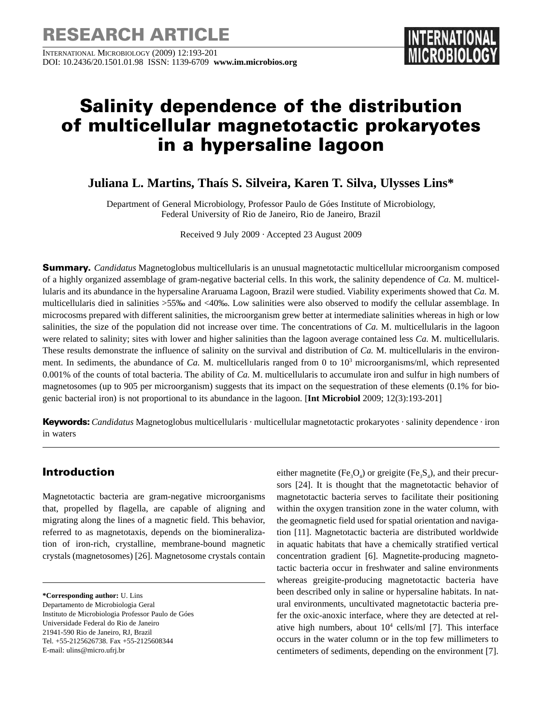INTERNATIONAL MICROBIOLOGY (2009) 12:193-201 DOI: 10.2436/20.1501.01.98 ISSN: 1139-6709 **www.im.microbios.org** 

# **Salinity dependence of the distribution of multicellular magnetotactic prokaryotes in a hypersaline lagoon**

**Juliana L. Martins, Thaís S. Silveira, Karen T. Silva, Ulysses Lins\***

Department of General Microbiology, Professor Paulo de Góes Institute of Microbiology, Federal University of Rio de Janeiro, Rio de Janeiro, Brazil

Received 9 July 2009 · Accepted 23 August 2009

**Summary.** *Candidatus* Magnetoglobus multicellularis is an unusual magnetotactic multicellular microorganism composed of a highly organized assemblage of gram-negative bacterial cells. In this work, the salinity dependence of *Ca.* M. multicellularis and its abundance in the hypersaline Araruama Lagoon, Brazil were studied. Viability experiments showed that *Ca.* M. multicellularis died in salinities >55‰ and <40‰. Low salinities were also observed to modify the cellular assemblage. In microcosms prepared with different salinities, the microorganism grew better at intermediate salinities whereas in high or low salinities, the size of the population did not increase over time. The concentrations of *Ca.* M. multicellularis in the lagoon were related to salinity; sites with lower and higher salinities than the lagoon average contained less *Ca.* M. multicellularis. These results demonstrate the influence of salinity on the survival and distribution of *Ca.* M. multicellularis in the environment. In sediments, the abundance of *Ca.* M. multicellularis ranged from 0 to 10<sup>3</sup> microorganisms/ml, which represented 0.001% of the counts of total bacteria. The ability of *Ca.* M. multicellularis to accumulate iron and sulfur in high numbers of magnetosomes (up to 905 per microorganism) suggests that its impact on the sequestration of these elements (0.1% for biogenic bacterial iron) is not proportional to its abundance in the lagoon. [**Int Microbiol** 2009; 12(3):193-201]

**Keywords:***Candidatus* Magnetoglobus multicellularis · multicellular magnetotactic prokaryotes · salinity dependence · iron in waters

# **Introduction**

Magnetotactic bacteria are gram-negative microorganisms that, propelled by flagella, are capable of aligning and migrating along the lines of a magnetic field. This behavior, referred to as magnetotaxis, depends on the biomineralization of iron-rich, crystalline, membrane-bound magnetic crystals (magnetosomes) [26]. Magnetosome crystals contain

**\*Corresponding author:** U. Lins

Departamento de Microbiologia Geral Instituto de Microbiologia Professor Paulo de Góes Universidade Federal do Rio de Janeiro 21941-590 Rio de Janeiro, RJ, Brazil Tel. +55-2125626738. Fax +55-2125608344 E-mail: ulins@micro.ufrj.br

either magnetite (Fe<sub>3</sub>O<sub>4</sub>) or greigite (Fe<sub>3</sub>S<sub>4</sub>), and their precursors [24]. It is thought that the magnetotactic behavior of magnetotactic bacteria serves to facilitate their positioning within the oxygen transition zone in the water column, with the geomagnetic field used for spatial orientation and navigation [11]. Magnetotactic bacteria are distributed worldwide in aquatic habitats that have a chemically stratified vertical concentration gradient [6]. Magnetite-producing magnetotactic bacteria occur in freshwater and saline environments whereas greigite-producing magnetotactic bacteria have been described only in saline or hypersaline habitats. In natural environments, uncultivated magnetotactic bacteria prefer the oxic-anoxic interface, where they are detected at relative high numbers, about  $10<sup>4</sup>$  cells/ml [7]. This interface occurs in the water column or in the top few millimeters to centimeters of sediments, depending on the environment [7].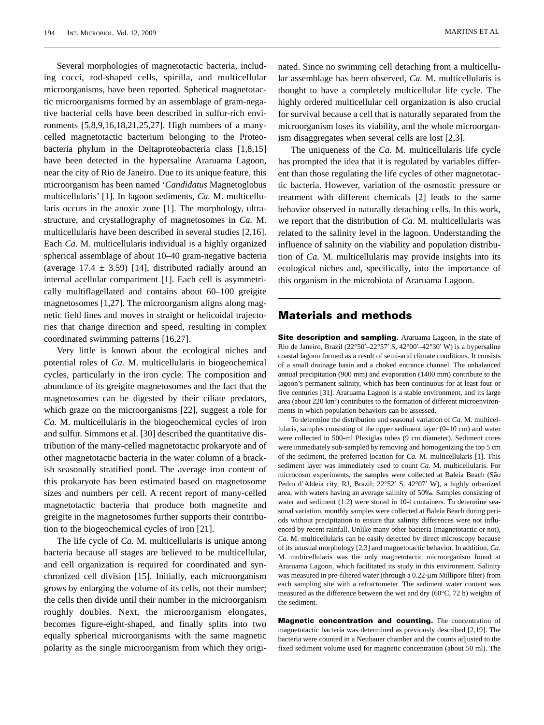Several morphologies of magnetotactic bacteria, including cocci, rod-shaped cells, spirilla, and multicellular microorganisms, have been reported. Spherical magnetotactic microorganisms formed by an assemblage of gram-negative bacterial cells have been described in sulfur-rich environments [5,8,9,16,18,21,25,27]. High numbers of a manycelled magnetotactic bacterium belonging to the Proteobacteria phylum in the Deltaproteobacteria class [1,8,15] have been detected in the hypersaline Araruama Lagoon, near the city of Rio de Janeiro. Due to its unique feature, this microorganism has been named '*Candidatus* Magnetoglobus multicellularis' [1]. In lagoon sediments, *Ca.* M. multicellularis occurs in the anoxic zone [1]. The morphology, ultrastructure, and crystallography of magnetosomes in *Ca.* M. multicellularis have been described in several studies [2,16]. Each *Ca.* M. multicellularis individual is a highly organized spherical assemblage of about 10–40 gram-negative bacteria (average  $17.4 \pm 3.59$ ) [14], distributed radially around an internal acellular compartment [1]. Each cell is asymmetrically multiflagellated and contains about 60–100 greigite magnetosomes [1,27]. The microorganism aligns along magnetic field lines and moves in straight or helicoidal trajectories that change direction and speed, resulting in complex coordinated swimming patterns [16,27].

Very little is known about the ecological niches and potential roles of *Ca.* M. multicellularis in biogeochemical cycles, particularly in the iron cycle. The composition and abundance of its greigite magnetosomes and the fact that the magnetosomes can be digested by their ciliate predators, which graze on the microorganisms [22], suggest a role for *Ca.* M. multicellularis in the biogeochemical cycles of iron and sulfur. Simmons et al. [30] described the quantitative distribution of the many-celled magnetotactic prokaryote and of other magnetotactic bacteria in the water column of a brackish seasonally stratified pond. The average iron content of this prokaryote has been estimated based on magnetosome sizes and numbers per cell. A recent report of many-celled magnetotactic bacteria that produce both magnetite and greigite in the magnetosomes further supports their contribution to the biogeochemical cycles of iron [21].

The life cycle of *Ca.* M. multicellularis is unique among bacteria because all stages are believed to be multicellular, and cell organization is required for coordinated and synchronized cell division [15]. Initially, each microorganism grows by enlarging the volume of its cells, not their number; the cells then divide until their number in the microorganism roughly doubles. Next, the microorganism elongates, becomes figure-eight-shaped, and finally splits into two equally spherical microorganisms with the same magnetic polarity as the single microorganism from which they originated. Since no swimming cell detaching from a multicellular assemblage has been observed, *Ca.* M. multicellularis is thought to have a completely multicellular life cycle. The highly ordered multicellular cell organization is also crucial for survival because a cell that is naturally separated from the microorganism loses its viability, and the whole microorganism disaggregates when several cells are lost [2,3].

The uniqueness of the *Ca.* M. multicellularis life cycle has prompted the idea that it is regulated by variables different than those regulating the life cycles of other magnetotactic bacteria. However, variation of the osmostic pressure or treatment with different chemicals [2] leads to the same behavior observed in naturally detaching cells. In this work, we report that the distribution of *Ca*. M. multicellularis was related to the salinity level in the lagoon. Understanding the influence of salinity on the viability and population distribution of *Ca.* M. multicellularis may provide insights into its ecological niches and, specifically, into the importance of this organism in the microbiota of Araruama Lagoon.

#### **Materials and methods**

**Site description and sampling.** Araruama Lagoon, in the state of Rio de Janeiro, Brazil (22°50′–22°57′ S, 42°00′–42°30′ W) is a hypersaline coastal lagoon formed as a result of semi-arid climate conditions. It consists of a small drainage basin and a choked entrance channel. The unbalanced annual precipitation (900 mm) and evaporation (1400 mm) contribute to the lagoon's permanent salinity, which has been continuous for at least four or five centuries [31]. Araruama Lagoon is a stable environment, and its large area (about 220 km<sup>2</sup>) contributes to the formation of different microenvironments in which population behaviors can be assessed.

To determine the distribution and seasonal variation of *Ca.* M. multicellularis, samples consisting of the upper sediment layer (0–10 cm) and water were collected in 500-ml Plexiglas tubes (9 cm diameter). Sediment cores were immediately sub-sampled by removing and homogenizing the top 5 cm of the sediment, the preferred location for *Ca.* M. multicellularis [1]. This sediment layer was immediately used to count *Ca.* M. multicellularis. For microcosm experiments, the samples were collected at Baleia Beach (São Pedro d'Aldeia city, RJ, Brazil; 22°52′ S, 42°07′ W), a highly urbanized area, with waters having an average salinity of 50‰. Samples consisting of water and sediment (1:2) were stored in 10-l containers. To determine seasonal variation, monthly samples were collected at Baleia Beach during periods without precipitation to ensure that salinity differences were not influenced by recent rainfall. Unlike many other bacteria (magnetotactic or not), *Ca.* M. multicellularis can be easily detected by direct microscopy because of its unusual morphology [2,3] and magnetotactic behavior. In addition, *Ca.* M. multicellularis was the only magnetotactic microorganism found at Araruama Lagoon, which facilitated its study in this environment. Salinity was measured in pre-filtered water (through a 0.22-μm Millipore filter) from each sampling site with a refractometer. The sediment water content was measured as the difference between the wet and dry (60°C, 72 h) weights of the sediment.

**Magnetic concentration and counting.** The concentration of magnetotactic bacteria was determined as previously described [2,19]. The bacteria were counted in a Neubauer chamber and the counts adjusted to the fixed sediment volume used for magnetic concentration (about 50 ml). The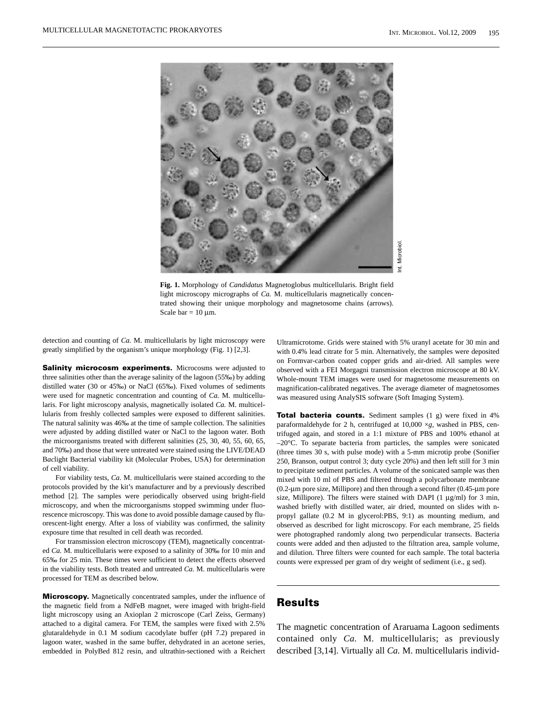

**Fig. 1.** Morphology of *Candidatus* Magnetoglobus multicellularis. Bright field light microscopy micrographs of *Ca.* M. multicellularis magnetically concentrated showing their unique morphology and magnetosome chains (arrows). Scale bar =  $10 \mu$ m.

detection and counting of *Ca.* M. multicellularis by light microscopy were greatly simplified by the organism's unique morphology (Fig. 1) [2,3].

**Salinity microcosm experiments.** Microcosms were adjusted to three salinities other than the average salinity of the lagoon (55‰) by adding distilled water (30 or 45‰) or NaCl (65‰). Fixed volumes of sediments were used for magnetic concentration and counting of *Ca.* M. multicellularis. For light microscopy analysis, magnetically isolated *Ca.* M. multicellularis from freshly collected samples were exposed to different salinities. The natural salinity was 46‰ at the time of sample collection. The salinities were adjusted by adding distilled water or NaCl to the lagoon water. Both the microorganisms treated with different salinities (25, 30, 40, 55, 60, 65, and 70‰) and those that were untreated were stained using the LIVE/DEAD B*ac*light Bacterial viability kit (Molecular Probes, USA) for determination of cell viability.

For viability tests, *Ca.* M. multicellularis were stained according to the protocols provided by the kit's manufacturer and by a previously described method [2]. The samples were periodically observed using bright-field microscopy, and when the microorganisms stopped swimming under fluorescence microscopy. This was done to avoid possible damage caused by fluorescent-light energy. After a loss of viability was confirmed, the salinity exposure time that resulted in cell death was recorded.

For transmission electron microscopy (TEM), magnetically concentrated *Ca.* M. multicellularis were exposed to a salinity of 30‰ for 10 min and 65‰ for 25 min. These times were sufficient to detect the effects observed in the viability tests. Both treated and untreated *Ca.* M. multicellularis were processed for TEM as described below.

**Microscopy.** Magnetically concentrated samples, under the influence of the magnetic field from a NdFeB magnet, were imaged with bright-field light microscopy using an Axioplan 2 microscope (Carl Zeiss, Germany) attached to a digital camera. For TEM, the samples were fixed with 2.5% glutaraldehyde in 0.1 M sodium cacodylate buffer (pH 7.2) prepared in lagoon water, washed in the same buffer, dehydrated in an acetone series, embedded in PolyBed 812 resin, and ultrathin-sectioned with a Reichert Ultramicrotome. Grids were stained with 5% uranyl acetate for 30 min and with 0.4% lead citrate for 5 min. Alternatively, the samples were deposited on Formvar-carbon coated copper grids and air-dried. All samples were observed with a FEI Morgagni transmission electron microscope at 80 kV. Whole-mount TEM images were used for magnetosome measurements on magnification-calibrated negatives. The average diameter of magnetosomes was measured using AnalySIS software (Soft Imaging System).

**Total bacteria counts.** Sediment samples (1 g) were fixed in 4% paraformaldehyde for 2 h, centrifuged at 10,000 ×*g*, washed in PBS, centrifuged again, and stored in a 1:1 mixture of PBS and 100% ethanol at –20°C. To separate bacteria from particles, the samples were sonicated (three times 30 s, with pulse mode) with a 5-mm microtip probe (Sonifier 250, Branson, output control 3; duty cycle 20%) and then left still for 3 min to precipitate sediment particles. A volume of the sonicated sample was then mixed with 10 ml of PBS and filtered through a polycarbonate membrane (0.2-μm pore size, Millipore) and then through a second filter (0.45-μm pore size, Millipore). The filters were stained with DAPI  $(1 \mu g/ml)$  for 3 min, washed briefly with distilled water, air dried, mounted on slides with npropyl gallate (0.2 M in glycerol:PBS, 9:1) as mounting medium, and observed as described for light microscopy. For each membrane, 25 fields were photographed randomly along two perpendicular transects. Bacteria counts were added and then adjusted to the filtration area, sample volume, and dilution. Three filters were counted for each sample. The total bacteria counts were expressed per gram of dry weight of sediment (i.e., g sed).

### **Results**

The magnetic concentration of Araruama Lagoon sediments contained only *Ca.* M. multicellularis; as previously described [3,14]. Virtually all *Ca.* M. multicellularis individ-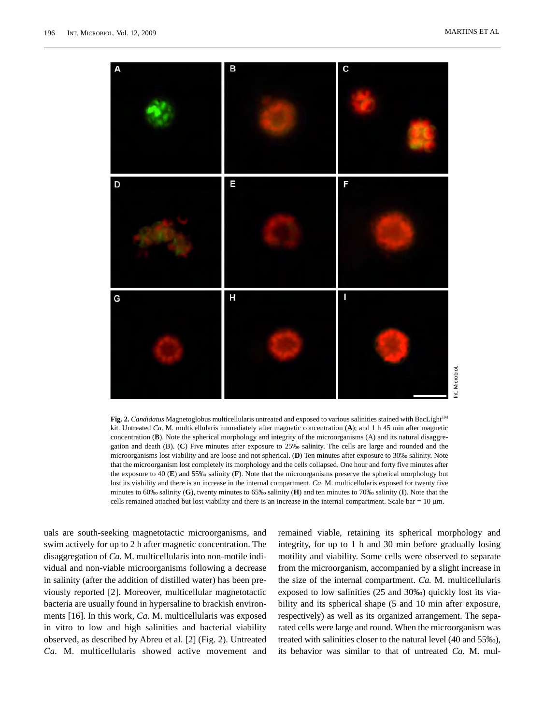

**Fig. 2.** *Candidatus* Magnetoglobus multicellularis untreated and exposed to various salinities stained with BacLight™ kit. Untreated *Ca*. M. multicellularis immediately after magnetic concentration (**A**); and 1 h 45 min after magnetic concentration (**B**). Note the spherical morphology and integrity of the microorganisms (A) and its natural disaggregation and death (B). (**C**) Five minutes after exposure to 25‰ salinity. The cells are large and rounded and the microorganisms lost viability and are loose and not spherical. (**D**) Ten minutes after exposure to 30‰ salinity. Note that the microorganism lost completely its morphology and the cells collapsed. One hour and forty five minutes after the exposure to 40 (**E**) and 55‰ salinity (**F**). Note that the microorganisms preserve the spherical morphology but lost its viability and there is an increase in the internal compartment. *Ca*. M. multicellularis exposed for twenty five minutes to 60‰ salinity (**G**), twenty minutes to 65‰ salinity (**H**) and ten minutes to 70‰ salinity (**I**). Note that the cells remained attached but lost viability and there is an increase in the internal compartment. Scale bar =  $10 \mu m$ .

uals are south-seeking magnetotactic microorganisms, and swim actively for up to 2 h after magnetic concentration. The disaggregation of *Ca.* M. multicellularis into non-motile individual and non-viable microorganisms following a decrease in salinity (after the addition of distilled water) has been previously reported [2]. Moreover, multicellular magnetotactic bacteria are usually found in hypersaline to brackish environments [16]. In this work, *Ca.* M. multicellularis was exposed in vitro to low and high salinities and bacterial viability observed, as described by Abreu et al. [2] (Fig. 2). Untreated *Ca.* M. multicellularis showed active movement and remained viable, retaining its spherical morphology and integrity, for up to 1 h and 30 min before gradually losing motility and viability. Some cells were observed to separate from the microorganism, accompanied by a slight increase in the size of the internal compartment. *Ca.* M. multicellularis exposed to low salinities (25 and 30‰) quickly lost its viability and its spherical shape (5 and 10 min after exposure, respectively) as well as its organized arrangement. The separated cells were large and round. When the microorganism was treated with salinities closer to the natural level (40 and 55‰), its behavior was similar to that of untreated *Ca.* M. mul-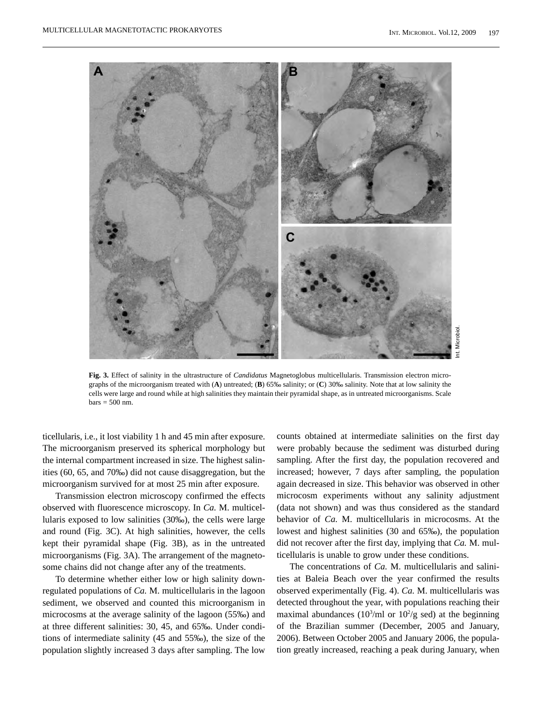

**Fig. 3.** Effect of salinity in the ultrastructure of *Candidatus* Magnetoglobus multicellularis. Transmission electron micrographs of the microorganism treated with (**A**) untreated; (**B**) 65‰ salinity; or (**C**) 30‰ salinity. Note that at low salinity the cells were large and round while at high salinities they maintain their pyramidal shape, as in untreated microorganisms. Scale  $bars = 500$  nm.

ticellularis, i.e., it lost viability 1 h and 45 min after exposure. The microorganism preserved its spherical morphology but the internal compartment increased in size. The highest salinities (60, 65, and 70‰) did not cause disaggregation, but the microorganism survived for at most 25 min after exposure.

Transmission electron microscopy confirmed the effects observed with fluorescence microscopy. In *Ca.* M. multicellularis exposed to low salinities (30‰), the cells were large and round (Fig. 3C). At high salinities, however, the cells kept their pyramidal shape (Fig. 3B), as in the untreated microorganisms (Fig. 3A). The arrangement of the magnetosome chains did not change after any of the treatments.

To determine whether either low or high salinity downregulated populations of *Ca.* M. multicellularis in the lagoon sediment, we observed and counted this microorganism in microcosms at the average salinity of the lagoon (55‰) and at three different salinities: 30, 45, and 65‰. Under conditions of intermediate salinity (45 and 55‰), the size of the population slightly increased 3 days after sampling. The low

counts obtained at intermediate salinities on the first day were probably because the sediment was disturbed during sampling. After the first day, the population recovered and increased; however, 7 days after sampling, the population again decreased in size. This behavior was observed in other microcosm experiments without any salinity adjustment (data not shown) and was thus considered as the standard behavior of *Ca.* M. multicellularis in microcosms. At the lowest and highest salinities (30 and 65‰), the population did not recover after the first day, implying that *Ca.* M. multicellularis is unable to grow under these conditions.

The concentrations of *Ca.* M. multicellularis and salinities at Baleia Beach over the year confirmed the results observed experimentally (Fig. 4). *Ca.* M. multicellularis was detected throughout the year, with populations reaching their maximal abundances  $(10^3/\text{ml or } 10^2/\text{g sed})$  at the beginning of the Brazilian summer (December, 2005 and January, 2006). Between October 2005 and January 2006, the population greatly increased, reaching a peak during January, when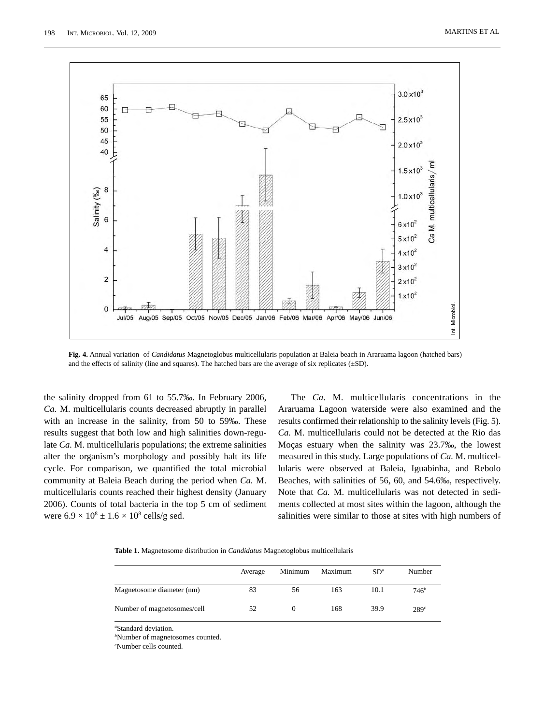

**Fig. 4.** Annual variation of *Candidatus* Magnetoglobus multicellularis population at Baleia beach in Araruama lagoon (hatched bars) and the effects of salinity (line and squares). The hatched bars are the average of six replicates (±SD).

the salinity dropped from 61 to 55.7‰. In February 2006, *Ca.* M. multicellularis counts decreased abruptly in parallel with an increase in the salinity, from 50 to 59‰. These results suggest that both low and high salinities down-regulate *Ca.* M. multicellularis populations; the extreme salinities alter the organism's morphology and possibly halt its life cycle. For comparison, we quantified the total microbial community at Baleia Beach during the period when *Ca.* M. multicellularis counts reached their highest density (January 2006). Counts of total bacteria in the top 5 cm of sediment were  $6.9 \times 10^8 \pm 1.6 \times 10^8$  cells/g sed.

The *Ca.* M. multicellularis concentrations in the Araruama Lagoon waterside were also examined and the results confirmed their relationship to the salinity levels (Fig. 5). *Ca.* M. multicellularis could not be detected at the Rio das Moças estuary when the salinity was 23.7‰, the lowest measured in this study. Large populations of *Ca.* M. multicellularis were observed at Baleia, Iguabinha, and Rebolo Beaches, with salinities of 56, 60, and 54.6‰, respectively. Note that *Ca.* M. multicellularis was not detected in sediments collected at most sites within the lagoon, although the salinities were similar to those at sites with high numbers of

**Table 1.** Magnetosome distribution in *Candidatus* Magnetoglobus multicellularis

|                             | Average | Minimum | Maximum | SD <sup>a</sup> | Number           |
|-----------------------------|---------|---------|---------|-----------------|------------------|
| Magnetosome diameter (nm)   | 83      | 56      | 163     | 10.1            | 746 <sup>b</sup> |
| Number of magnetosomes/cell | 52      | 0       | 168     | 39.9            | 289c             |

*a* Standard deviation.

*b* Number of magnetosomes counted.

*c* Number cells counted.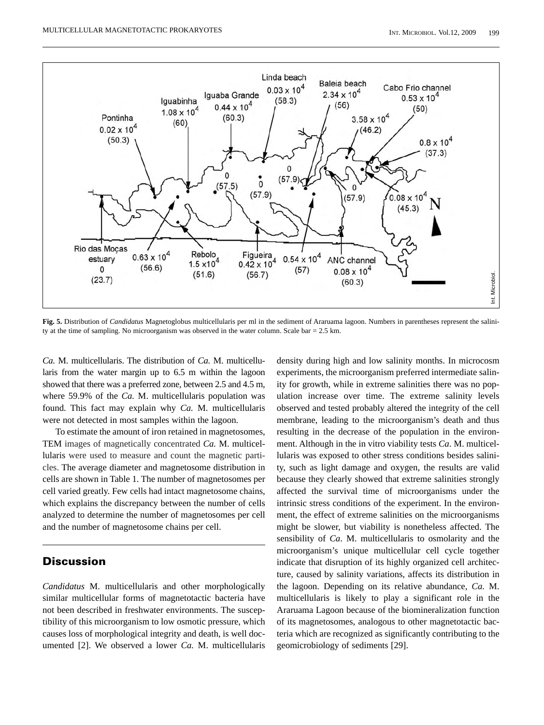

**Fig. 5.** Distribution of *Candidatus* Magnetoglobus multicellularis per ml in the sediment of Araruama lagoon. Numbers in parentheses represent the salinity at the time of sampling. No microorganism was observed in the water column. Scale bar = 2.5 km.

*Ca.* M. multicellularis. The distribution of *Ca.* M. multicellularis from the water margin up to 6.5 m within the lagoon showed that there was a preferred zone, between 2.5 and 4.5 m, where 59.9% of the *Ca*. M. multicellularis population was found. This fact may explain why *Ca.* M. multicellularis were not detected in most samples within the lagoon.

To estimate the amount of iron retained in magnetosomes, TEM images of magnetically concentrated *Ca.* M. multicellularis were used to measure and count the magnetic particles. The average diameter and magnetosome distribution in cells are shown in Table 1. The number of magnetosomes per cell varied greatly. Few cells had intact magnetosome chains, which explains the discrepancy between the number of cells analyzed to determine the number of magnetosomes per cell and the number of magnetosome chains per cell.

## **Discussion**

*Candidatus* M. multicellularis and other morphologically similar multicellular forms of magnetotactic bacteria have not been described in freshwater environments. The susceptibility of this microorganism to low osmotic pressure, which causes loss of morphological integrity and death, is well documented [2]. We observed a lower *Ca.* M. multicellularis density during high and low salinity months. In microcosm experiments, the microorganism preferred intermediate salinity for growth, while in extreme salinities there was no population increase over time. The extreme salinity levels observed and tested probably altered the integrity of the cell membrane, leading to the microorganism's death and thus resulting in the decrease of the population in the environment. Although in the in vitro viability tests *Ca*. M. multicellularis was exposed to other stress conditions besides salinity, such as light damage and oxygen, the results are valid because they clearly showed that extreme salinities strongly affected the survival time of microorganisms under the intrinsic stress conditions of the experiment. In the environment, the effect of extreme salinities on the microorganisms might be slower, but viability is nonetheless affected. The sensibility of *Ca*. M. multicellularis to osmolarity and the microorganism's unique multicellular cell cycle together indicate that disruption of its highly organized cell architecture, caused by salinity variations, affects its distribution in the lagoon. Depending on its relative abundance, *Ca.* M. multicellularis is likely to play a significant role in the Araruama Lagoon because of the biomineralization function of its magnetosomes, analogous to other magnetotactic bacteria which are recognized as significantly contributing to the geomicrobiology of sediments [29].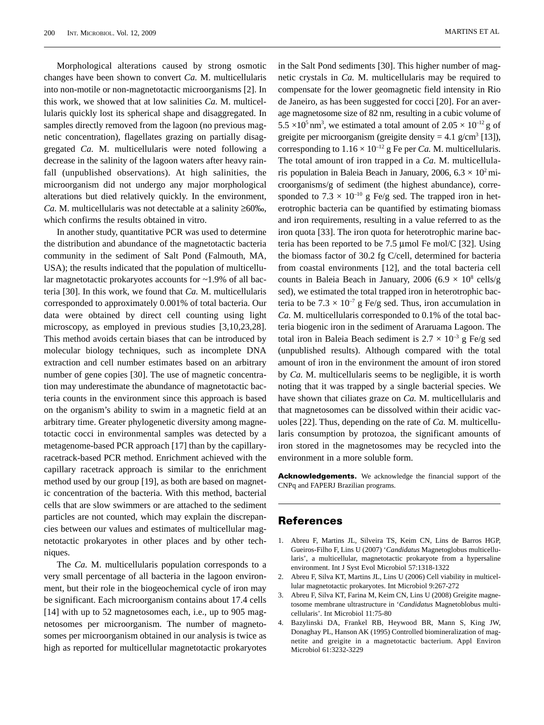Morphological alterations caused by strong osmotic changes have been shown to convert *Ca.* M. multicellularis into non-motile or non-magnetotactic microorganisms [2]. In this work, we showed that at low salinities *Ca.* M. multicellularis quickly lost its spherical shape and disaggregated. In samples directly removed from the lagoon (no previous magnetic concentration), flagellates grazing on partially disaggregated *Ca.* M. multicellularis were noted following a decrease in the salinity of the lagoon waters after heavy rainfall (unpublished observations). At high salinities, the microorganism did not undergo any major morphological alterations but died relatively quickly. In the environment, *Ca.* M. multicellularis was not detectable at a salinity ≥60‰, which confirms the results obtained in vitro.

In another study, quantitative PCR was used to determine the distribution and abundance of the magnetotactic bacteria community in the sediment of Salt Pond (Falmouth, MA, USA); the results indicated that the population of multicellular magnetotactic prokaryotes accounts for ~1.9% of all bacteria [30]. In this work, we found that *Ca.* M. multicellularis corresponded to approximately 0.001% of total bacteria. Our data were obtained by direct cell counting using light microscopy, as employed in previous studies [3,10,23,28]. This method avoids certain biases that can be introduced by molecular biology techniques, such as incomplete DNA extraction and cell number estimates based on an arbitrary number of gene copies [30]. The use of magnetic concentration may underestimate the abundance of magnetotactic bacteria counts in the environment since this approach is based on the organism's ability to swim in a magnetic field at an arbitrary time. Greater phylogenetic diversity among magnetotactic cocci in environmental samples was detected by a metagenome-based PCR approach [17] than by the capillaryracetrack-based PCR method. Enrichment achieved with the capillary racetrack approach is similar to the enrichment method used by our group [19], as both are based on magnetic concentration of the bacteria. With this method, bacterial cells that are slow swimmers or are attached to the sediment particles are not counted, which may explain the discrepancies between our values and estimates of multicellular magnetotactic prokaryotes in other places and by other techniques.

The *Ca.* M. multicellularis population corresponds to a very small percentage of all bacteria in the lagoon environment, but their role in the biogeochemical cycle of iron may be significant. Each microorganism contains about 17.4 cells [14] with up to 52 magnetosomes each, i.e., up to 905 magnetosomes per microorganism. The number of magnetosomes per microorganism obtained in our analysis is twice as high as reported for multicellular magnetotactic prokaryotes

in the Salt Pond sediments [30]. This higher number of magnetic crystals in *Ca.* M. multicellularis may be required to compensate for the lower geomagnetic field intensity in Rio de Janeiro, as has been suggested for cocci [20]. For an average magnetosome size of 82 nm, resulting in a cubic volume of  $5.5 \times 10^5$  nm<sup>3</sup>, we estimated a total amount of  $2.05 \times 10^{-12}$  g of greigite per microorganism (greigite density =  $4.1$  g/cm<sup>3</sup> [13]), corresponding to  $1.16 \times 10^{-12}$  g Fe per *Ca*. M. multicellularis. The total amount of iron trapped in a *Ca.* M. multicellularis population in Baleia Beach in January, 2006,  $6.3 \times 10^2$  microorganisms/g of sediment (the highest abundance), corresponded to 7.3  $\times$  10<sup>-10</sup> g Fe/g sed. The trapped iron in heterotrophic bacteria can be quantified by estimating biomass and iron requirements, resulting in a value referred to as the iron quota [33]. The iron quota for heterotrophic marine bacteria has been reported to be 7.5 μmol Fe mol/C [32]. Using the biomass factor of 30.2 fg C/cell, determined for bacteria from coastal environments [12], and the total bacteria cell counts in Baleia Beach in January, 2006 (6.9  $\times$  10<sup>8</sup> cells/g sed), we estimated the total trapped iron in heterotrophic bacteria to be  $7.3 \times 10^{-7}$  g Fe/g sed. Thus, iron accumulation in *Ca.* M. multicellularis corresponded to 0.1% of the total bacteria biogenic iron in the sediment of Araruama Lagoon. The total iron in Baleia Beach sediment is  $2.7 \times 10^{-3}$  g Fe/g sed (unpublished results). Although compared with the total amount of iron in the environment the amount of iron stored by *Ca.* M. multicellularis seems to be negligible, it is worth noting that it was trapped by a single bacterial species. We have shown that ciliates graze on *Ca*. M. multicellularis and that magnetosomes can be dissolved within their acidic vacuoles [22]. Thus, depending on the rate of *Ca.* M. multicellularis consumption by protozoa, the significant amounts of iron stored in the magnetosomes may be recycled into the environment in a more soluble form.

**Acknowledgements.** We acknowledge the financial support of the CNPq and FAPERJ Brazilian programs.

#### **References**

- 1. Abreu F, Martins JL, Silveira TS, Keim CN, Lins de Barros HGP, Gueiros-Filho F, Lins U (2007) '*Candidatus* Magnetoglobus multicellularis', a multicellular, magnetotactic prokaryote from a hypersaline environment. Int J Syst Evol Microbiol 57:1318-1322
- 2. Abreu F, Silva KT, Martins JL, Lins U (2006) Cell viability in multicellular magnetotactic prokaryotes. Int Microbiol 9:267-272
- 3. Abreu F, Silva KT, Farina M, Keim CN, Lins U (2008) Greigite magnetosome membrane ultrastructure in '*Candidatus* Magnetoblobus multicellularis'. Int Microbiol 11:75-80
- 4. Bazylinski DA, Frankel RB, Heywood BR, Mann S, King JW, Donaghay PL, Hanson AK (1995) Controlled biomineralization of magnetite and greigite in a magnetotactic bacterium. Appl Environ Microbiol 61:3232-3229